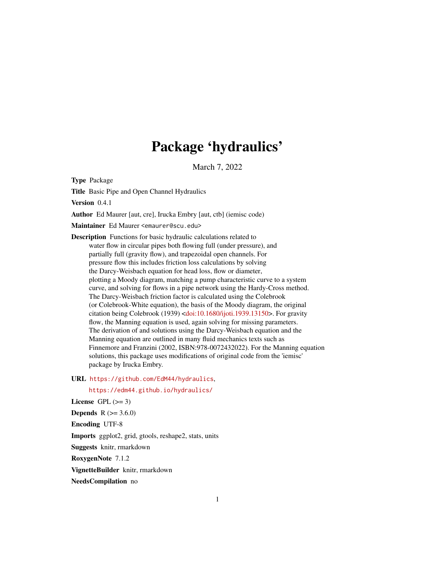# Package 'hydraulics'

March 7, 2022

Type Package

Title Basic Pipe and Open Channel Hydraulics

Version 0.4.1

Author Ed Maurer [aut, cre], Irucka Embry [aut, ctb] (iemisc code)

Maintainer Ed Maurer <emaurer@scu.edu>

Description Functions for basic hydraulic calculations related to water flow in circular pipes both flowing full (under pressure), and partially full (gravity flow), and trapezoidal open channels. For pressure flow this includes friction loss calculations by solving the Darcy-Weisbach equation for head loss, flow or diameter, plotting a Moody diagram, matching a pump characteristic curve to a system curve, and solving for flows in a pipe network using the Hardy-Cross method. The Darcy-Weisbach friction factor is calculated using the Colebrook (or Colebrook-White equation), the basis of the Moody diagram, the original citation being Colebrook (1939) [<doi:10.1680/ijoti.1939.13150>](https://doi.org/10.1680/ijoti.1939.13150). For gravity flow, the Manning equation is used, again solving for missing parameters. The derivation of and solutions using the Darcy-Weisbach equation and the Manning equation are outlined in many fluid mechanics texts such as Finnemore and Franzini (2002, ISBN:978-0072432022). For the Manning equation solutions, this package uses modifications of original code from the 'iemisc' package by Irucka Embry.

#### URL <https://github.com/EdM44/hydraulics>,

<https://edm44.github.io/hydraulics/>

License GPL  $(>= 3)$ **Depends**  $R$  ( $> = 3.6.0$ ) Encoding UTF-8 Imports ggplot2, grid, gtools, reshape2, stats, units Suggests knitr, rmarkdown RoxygenNote 7.1.2 VignetteBuilder knitr, rmarkdown

NeedsCompilation no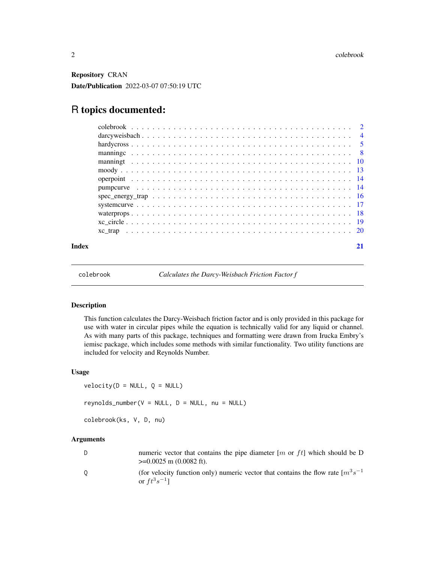<span id="page-1-0"></span>Repository CRAN Date/Publication 2022-03-07 07:50:19 UTC

# R topics documented:

|       | $spec\_energy\_trap \dots \dots \dots \dots \dots \dots \dots \dots \dots \dots \dots \dots \dots \dots \dots \dots \dots \dots$ |  |
|-------|----------------------------------------------------------------------------------------------------------------------------------|--|
|       |                                                                                                                                  |  |
|       |                                                                                                                                  |  |
|       |                                                                                                                                  |  |
|       |                                                                                                                                  |  |
| Index |                                                                                                                                  |  |

<span id="page-1-2"></span>colebrook *Calculates the Darcy-Weisbach Friction Factor f*

# <span id="page-1-1"></span>Description

This function calculates the Darcy-Weisbach friction factor and is only provided in this package for use with water in circular pipes while the equation is technically valid for any liquid or channel. As with many parts of this package, techniques and formatting were drawn from Irucka Embry's iemisc package, which includes some methods with similar functionality. Two utility functions are included for velocity and Reynolds Number.

# Usage

```
velocity(D = NULL, Q = NULL)reynolds_number(V = NULL, D = NULL, nu = NULL)colebrook(ks, V, D, nu)
```
# Arguments

| D. | numeric vector that contains the pipe diameter $[m \text{ or } ft]$ which should be D<br>$\geq 0.0025$ m (0.0082 ft).   |
|----|-------------------------------------------------------------------------------------------------------------------------|
| 0  | (for velocity function only) numeric vector that contains the flow rate $\lceil m^3 s^{-1} \rceil$<br>or $ft^3s^{-1}$ ] |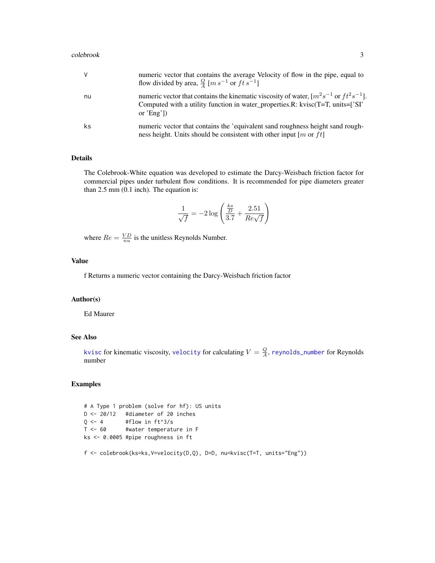#### <span id="page-2-0"></span>colebrook 3

| V  | numeric vector that contains the average Velocity of flow in the pipe, equal to<br>flow divided by area, $\frac{Q}{4}$ [ <i>m s</i> <sup>-1</sup> or <i>ft s</i> <sup>-1</sup> ]                   |
|----|----------------------------------------------------------------------------------------------------------------------------------------------------------------------------------------------------|
| nu | numeric vector that contains the kinematic viscosity of water, $[m^2s^{-1}]$ or $ft^2s^{-1}$ .<br>Computed with a utility function in water_properties.R: kvisc $(T=T, units=[S]$<br>or $'Eng'$ ]) |
| ks | numeric vector that contains the 'equivalent sand roughness height sand rough-<br>ness height. Units should be consistent with other input $[m \text{ or } ft]$                                    |

# Details

The Colebrook-White equation was developed to estimate the Darcy-Weisbach friction factor for commercial pipes under turbulent flow conditions. It is recommended for pipe diameters greater than 2.5 mm (0.1 inch). The equation is:

$$
\frac{1}{\sqrt{f}} = -2\log\left(\frac{\frac{ks}{D}}{3.7} + \frac{2.51}{Re\sqrt{f}}\right)
$$

where  $Re = \frac{VD}{nu}$  is the unitless Reynolds Number.

# Value

f Returns a numeric vector containing the Darcy-Weisbach friction factor

### Author(s)

Ed Maurer

# See Also

[kvisc](#page-17-1) for kinematic viscosity, [velocity](#page-1-1) for calculating  $V=\frac{Q}{A},$  [reynolds\\_number](#page-1-1) for Reynolds number

#### Examples

# A Type 1 problem (solve for hf): US units D <- 20/12 #diameter of 20 inches  $Q \leftarrow 4$  #flow in  $ft^3/s$ T <- 60 #water temperature in F ks <- 0.0005 #pipe roughness in ft

#### f <- colebrook(ks=ks,V=velocity(D,Q), D=D, nu=kvisc(T=T, units="Eng"))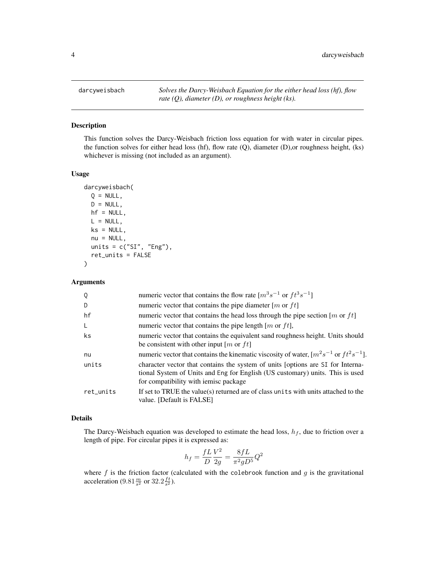<span id="page-3-1"></span><span id="page-3-0"></span>

This function solves the Darcy-Weisbach friction loss equation for with water in circular pipes. the function solves for either head loss (hf), flow rate (Q), diameter (D),or roughness height, (ks) whichever is missing (not included as an argument).

#### Usage

```
darcyweisbach(
 Q = NULL,D = NULL,hf = NULL,L = NULL,ks = NULL,nu = NULL,units = c("SI", "Eng"),ret_units = FALSE
)
```
# Arguments

| Q         | numeric vector that contains the flow rate $[m^3s^{-1}$ or $ft^3s^{-1}]$                                                                                                                                  |
|-----------|-----------------------------------------------------------------------------------------------------------------------------------------------------------------------------------------------------------|
| D         | numeric vector that contains the pipe diameter $[m \text{ or } ft]$                                                                                                                                       |
| hf        | numeric vector that contains the head loss through the pipe section [ $m$ or $ft$ ]                                                                                                                       |
| -L        | numeric vector that contains the pipe length $[m \text{ or } ft],$                                                                                                                                        |
| ks        | numeric vector that contains the equivalent sand roughness height. Units should<br>be consistent with other input [m or ft]                                                                               |
| nu        | numeric vector that contains the kinematic viscosity of water, $[m^2s^{-1}]$ or $ft^2s^{-1}$ .                                                                                                            |
| units     | character vector that contains the system of units [options are SI for Interna-<br>tional System of Units and Eng for English (US customary) units. This is used<br>for compatibility with iemisc package |
| ret_units | If set to TRUE the value(s) returned are of class units with units attached to the<br>value. [Default is FALSE]                                                                                           |

#### Details

The Darcy-Weisbach equation was developed to estimate the head loss,  $h_f$ , due to friction over a length of pipe. For circular pipes it is expressed as:

$$
h_f = \frac{fL}{D} \frac{V^2}{2g} = \frac{8fL}{\pi^2 g D^5} Q^2
$$

where  $f$  is the friction factor (calculated with the colebrook function and  $g$  is the gravitational acceleration  $(9.81 \frac{m}{s^2} \text{ or } 32.2 \frac{ft}{s^2})$ .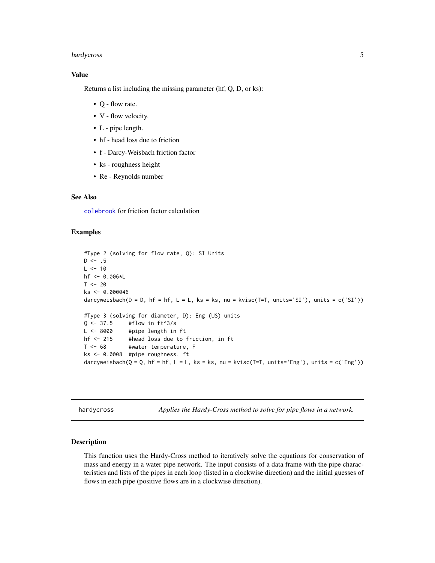# <span id="page-4-0"></span>hardycross 5

# Value

Returns a list including the missing parameter (hf, Q, D, or ks):

- Q flow rate.
- V flow velocity.
- L pipe length.
- hf head loss due to friction
- f Darcy-Weisbach friction factor
- ks roughness height
- Re Reynolds number

#### See Also

[colebrook](#page-1-2) for friction factor calculation

#### Examples

```
#Type 2 (solving for flow rate, Q): SI Units
D \le - .5L < -10hf <- 0.006*L
T < -20ks <- 0.000046
darcyweisbach(D = D, hf = hf, L = L, ks = ks, nu = kvisc(T=T, units='SI'), units = c('SI'))
#Type 3 (solving for diameter, D): Eng (US) units
Q \leftarrow 37.5 #flow in ft^3/sL <- 8000 #pipe length in ft
hf <- 215 #head loss due to friction, in ft
T <- 68 #water temperature, F
ks <- 0.0008 #pipe roughness, ft
darcyweisbach(Q = Q, hf = hf, L = L, ks = ks, nu = kvisc(T=T, units='Eng'), units = c('Eng'))
```
hardycross *Applies the Hardy-Cross method to solve for pipe flows in a network.*

# **Description**

This function uses the Hardy-Cross method to iteratively solve the equations for conservation of mass and energy in a water pipe network. The input consists of a data frame with the pipe characteristics and lists of the pipes in each loop (listed in a clockwise direction) and the initial guesses of flows in each pipe (positive flows are in a clockwise direction).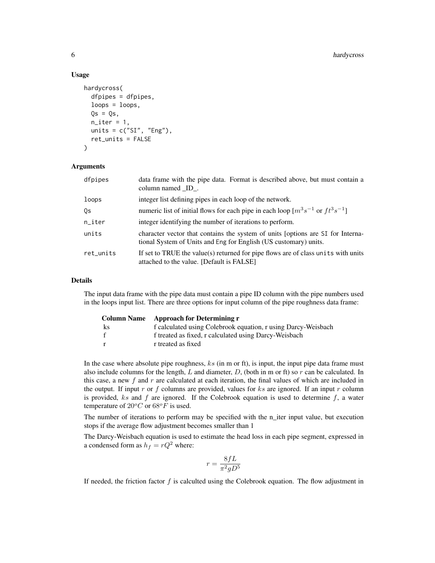#### Usage

```
hardycross(
  dfpipes = dfpipes,
  loops = loops,Qs = Qs,
  n<sub>-iter</sub> = 1,
  units = c("SI", "Eng"),ret_units = FALSE
)
```
#### Arguments

| dfpipes   | data frame with the pipe data. Format is described above, but must contain a<br>column named ID.                                                    |  |  |
|-----------|-----------------------------------------------------------------------------------------------------------------------------------------------------|--|--|
| loops     | integer list defining pipes in each loop of the network.                                                                                            |  |  |
| Qs        | numeric list of initial flows for each pipe in each loop $[m^3s^{-1}$ or $ft^3s^{-1}]$                                                              |  |  |
| $n$ _iter | integer identifying the number of iterations to perform.                                                                                            |  |  |
| units     | character vector that contains the system of units [options are SI for Interna-<br>tional System of Units and Eng for English (US customary) units. |  |  |
| ret_units | If set to TRUE the value(s) returned for pipe flows are of class units with units<br>attached to the value. [Default is FALSE]                      |  |  |

#### Details

The input data frame with the pipe data must contain a pipe ID column with the pipe numbers used in the loops input list. There are three options for input column of the pipe roughness data frame:

| <b>Column Name</b> | Approach for Determining r                                    |  |
|--------------------|---------------------------------------------------------------|--|
| ks                 | f calculated using Colebrook equation, r using Darcy-Weisbach |  |
| f                  | f treated as fixed, r calculated using Darcy-Weisbach         |  |
| $\mathbf{r}$       | r treated as fixed                                            |  |

In the case where absolute pipe roughness,  $ks$  (in m or ft), is input, the input pipe data frame must also include columns for the length,  $L$  and diameter,  $D$ , (both in m or ft) so  $r$  can be calculated. In this case, a new f and r are calculated at each iteration, the final values of which are included in the output. If input r or f columns are provided, values for  $ks$  are ignored. If an input r column is provided,  $ks$  and  $f$  are ignored. If the Colebrook equation is used to determine  $f$ , a water temperature of  $20^{\circ}C$  or  $68^{\circ}F$  is used.

The number of iterations to perform may be specified with the n\_iter input value, but execution stops if the average flow adjustment becomes smaller than 1

The Darcy-Weisbach equation is used to estimate the head loss in each pipe segment, expressed in a condensed form as  $h_f = rQ^2$  where:

$$
r = \frac{8fL}{\pi^2 gD^5}
$$

If needed, the friction factor  $f$  is calculted using the Colebrook equation. The flow adjustment in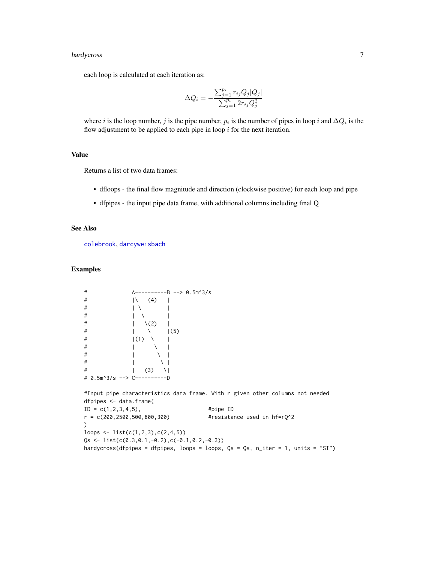# <span id="page-6-0"></span>hardycross 7

each loop is calculated at each iteration as:

$$
\Delta Q_i = -\frac{\sum_{j=1}^{p_i} r_{ij} Q_j |Q_j|}{\sum_{j=1}^{p_i} 2r_{ij} Q_j^2}
$$

where *i* is the loop number, *j* is the pipe number,  $p_i$  is the number of pipes in loop *i* and  $\Delta Q_i$  is the flow adjustment to be applied to each pipe in loop  $i$  for the next iteration.

# Value

Returns a list of two data frames:

- dfloops the final flow magnitude and direction (clockwise positive) for each loop and pipe
- dfpipes the input pipe data frame, with additional columns including final Q

### See Also

[colebrook](#page-1-2), [darcyweisbach](#page-3-1)

# Examples

| # |                           |     |                 |     | -----B --> 0.5m^3/s |
|---|---------------------------|-----|-----------------|-----|---------------------|
| # |                           |     | (4)             |     |                     |
| # |                           |     |                 |     |                     |
| # |                           |     |                 |     |                     |
| # |                           |     | $\setminus$ (2) |     |                     |
| # |                           |     |                 | (5) |                     |
| # |                           | (1) |                 |     |                     |
| # |                           |     |                 |     |                     |
| # |                           |     |                 |     |                     |
| # |                           |     |                 |     |                     |
| # |                           |     | (3)             |     |                     |
| # | 0.5m^3/s $\leftarrow$ > C |     |                 |     |                     |

#Input pipe characteristics data frame. With r given other columns not needed dfpipes <- data.frame(  $ID = c(1, 2, 3, 4, 5),$  #pipe ID r = c(200,2500,500,800,300) #resistance used in hf=rQ^2 ) loops  $\leq$  list(c(1,2,3),c(2,4,5))  $Qs \leftarrow list(c(0.3, 0.1, -0.2), c(-0.1, 0.2, -0.3))$ hardycross(dfpipes = dfpipes, loops = loops, Qs = Qs, n\_iter = 1, units = "SI")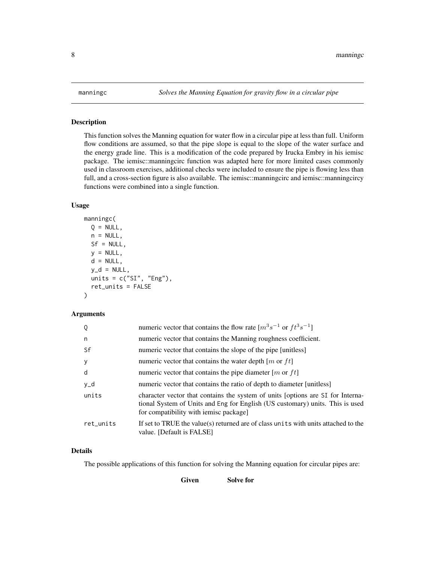This function solves the Manning equation for water flow in a circular pipe at less than full. Uniform flow conditions are assumed, so that the pipe slope is equal to the slope of the water surface and the energy grade line. This is a modification of the code prepared by Irucka Embry in his iemisc package. The iemisc::manningcirc function was adapted here for more limited cases commonly used in classroom exercises, additional checks were included to ensure the pipe is flowing less than full, and a cross-section figure is also available. The iemisc::manningcirc and iemisc::manningcircy functions were combined into a single function.

#### Usage

```
manningc(
  Q = NULL,n = NULL,Sf = NULL,
  y = NULL,d = NULL,y_d = NULL,units = c("SI", "Eng"),ret_units = FALSE
\lambda
```
#### Arguments

| Q         | numeric vector that contains the flow rate $[m^3s^{-1}$ or $ft^3s^{-1}]$                                                                                                                                   |  |
|-----------|------------------------------------------------------------------------------------------------------------------------------------------------------------------------------------------------------------|--|
| n         | numeric vector that contains the Manning roughness coefficient.                                                                                                                                            |  |
| Sf        | numeric vector that contains the slope of the pipe [unitless]                                                                                                                                              |  |
| y         | numeric vector that contains the water depth $[m \text{ or } ft]$                                                                                                                                          |  |
| d         | numeric vector that contains the pipe diameter [ <i>m</i> or $ft$ ]                                                                                                                                        |  |
| y_d       | numeric vector that contains the ratio of depth to diameter [unitless]                                                                                                                                     |  |
| units     | character vector that contains the system of units (options are SI for Interna-<br>tional System of Units and Eng for English (US customary) units. This is used<br>for compatibility with iemisc package] |  |
| ret_units | If set to TRUE the value(s) returned are of class units with units attached to the<br>value. [Default is FALSE]                                                                                            |  |

# Details

The possible applications of this function for solving the Manning equation for circular pipes are:

Given Solve for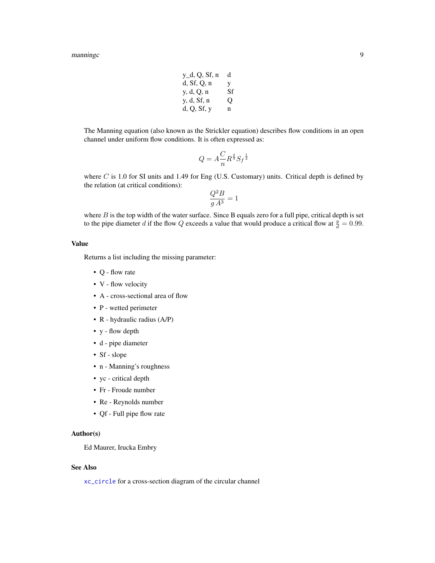#### <span id="page-8-0"></span>manningc 9

| $y_d$ , Q, Sf, n | d  |
|------------------|----|
| d, Sf, Q, n      | V  |
| y, d, Q, n       | Sf |
| y, d, Sf, n      | О  |
| d, Q, Sf, y      | n  |

The Manning equation (also known as the Strickler equation) describes flow conditions in an open channel under uniform flow conditions. It is often expressed as:

$$
Q = A \frac{C}{n} R^{\frac{2}{3}} S_f^{\frac{1}{2}}
$$

where C is 1.0 for SI units and 1.49 for Eng (U.S. Customary) units. Critical depth is defined by the relation (at critical conditions):

$$
\frac{Q^2B}{gA^3} = 1
$$

where  $B$  is the top width of the water surface. Since B equals zero for a full pipe, critical depth is set to the pipe diameter d if the flow Q exceeds a value that would produce a critical flow at  $\frac{y}{d} = 0.99$ .

# Value

Returns a list including the missing parameter:

- Q flow rate
- V flow velocity
- A cross-sectional area of flow
- P wetted perimeter
- R hydraulic radius (A/P)
- y flow depth
- d pipe diameter
- Sf slope
- n Manning's roughness
- yc critical depth
- Fr Froude number
- Re Reynolds number
- Qf Full pipe flow rate

# Author(s)

Ed Maurer, Irucka Embry

#### See Also

[xc\\_circle](#page-18-1) for a cross-section diagram of the circular channel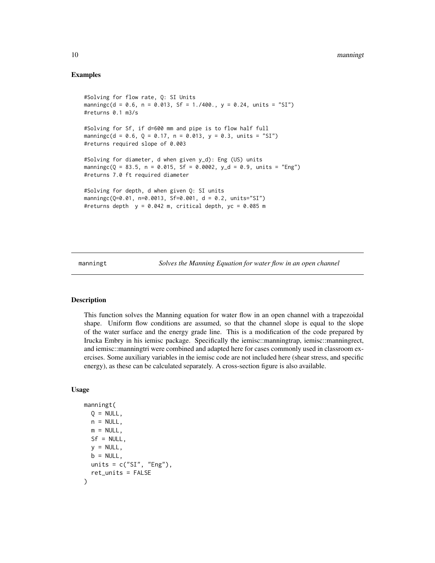# <span id="page-9-0"></span>Examples

```
#Solving for flow rate, Q: SI Units
manningc(d = 0.6, n = 0.013, Sf = 1./400., y = 0.24, units = "SI")
#returns 0.1 m3/s
#Solving for Sf, if d=600 mm and pipe is to flow half full
manningc(d = 0.6, Q = 0.17, n = 0.013, y = 0.3, units = "SI")
#returns required slope of 0.003
#Solving for diameter, d when given y_d): Eng (US) units
manningc(Q = 83.5, n = 0.015, Sf = 0.0002, y_d = 0.9, units = "Eng")
#returns 7.0 ft required diameter
#Solving for depth, d when given Q: SI units
manningc(Q=0.01, n=0.0013, Sf=0.001, d = 0.2, units="SI")
#returns depth y = 0.042 m, critical depth, yc = 0.085 m
```
manningt *Solves the Manning Equation for water flow in an open channel*

# Description

This function solves the Manning equation for water flow in an open channel with a trapezoidal shape. Uniform flow conditions are assumed, so that the channel slope is equal to the slope of the water surface and the energy grade line. This is a modification of the code prepared by Irucka Embry in his iemisc package. Specifically the iemisc::manningtrap, iemisc::manningrect, and iemisc::manningtri were combined and adapted here for cases commonly used in classroom exercises. Some auxiliary variables in the iemisc code are not included here (shear stress, and specific energy), as these can be calculated separately. A cross-section figure is also available.

#### Usage

```
manningt(
 Q = NULL,n = NULL,m = NULL,Sf = NULL,
 y = NULL,b = NULL,
 units = c("SI", "Eng"),ret_units = FALSE
)
```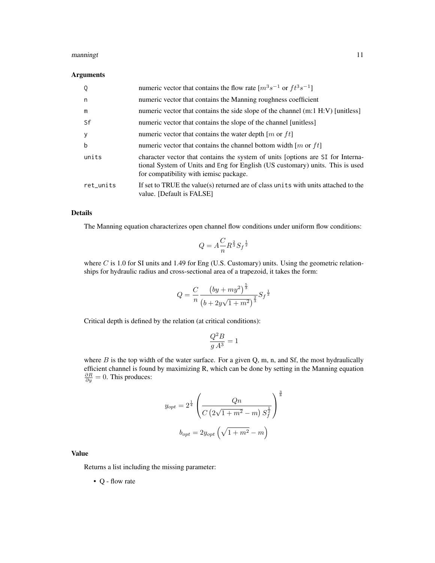#### manningt 11

# Arguments

| Q         | numeric vector that contains the flow rate $[m^3s^{-1}$ or $ft^3s^{-1}]$                                                                                                                                   |
|-----------|------------------------------------------------------------------------------------------------------------------------------------------------------------------------------------------------------------|
| n         | numeric vector that contains the Manning roughness coefficient                                                                                                                                             |
| m         | numeric vector that contains the side slope of the channel (m:1 H:V) [unitless]                                                                                                                            |
| Sf        | numeric vector that contains the slope of the channel [unitless]                                                                                                                                           |
| у         | numeric vector that contains the water depth $[m \text{ or } ft]$                                                                                                                                          |
| b         | numeric vector that contains the channel bottom width $[m \text{ or } ft]$                                                                                                                                 |
| units     | character vector that contains the system of units [options are SI for Interna-<br>tional System of Units and Eng for English (US customary) units. This is used<br>for compatibility with iemisc package. |
| ret_units | If set to TRUE the value(s) returned are of class units with units attached to the<br>value. [Default is FALSE]                                                                                            |

# Details

The Manning equation characterizes open channel flow conditions under uniform flow conditions:

$$
Q=A\frac{C}{n}R^{\frac{2}{3}}S_f^{-\frac{1}{2}}
$$

where  $C$  is 1.0 for SI units and 1.49 for Eng (U.S. Customary) units. Using the geometric relationships for hydraulic radius and cross-sectional area of a trapezoid, it takes the form:

$$
Q = \frac{C}{n} \frac{\left(by + my^{2}\right)^{\frac{5}{3}}}{\left(b + 2y\sqrt{1 + m^{2}}\right)^{\frac{2}{3}}} S_{f}^{\frac{1}{2}}
$$

Critical depth is defined by the relation (at critical conditions):

$$
\frac{Q^2B}{g\,A^3}=1
$$

where  $B$  is the top width of the water surface. For a given Q, m, n, and Sf, the most hydraulically efficient channel is found by maximizing R, which can be done by setting in the Manning equation  $\frac{\partial R}{\partial y} = 0$ . This produces:

$$
y_{opt} = 2^{\frac{1}{4}} \left( \frac{Qn}{C(2\sqrt{1+m^2} - m) S_f^{\frac{1}{2}}} \right)^{\frac{3}{8}}
$$

$$
b_{opt} = 2y_{opt} \left( \sqrt{1+m^2} - m \right)
$$

# Value

Returns a list including the missing parameter:

• Q - flow rate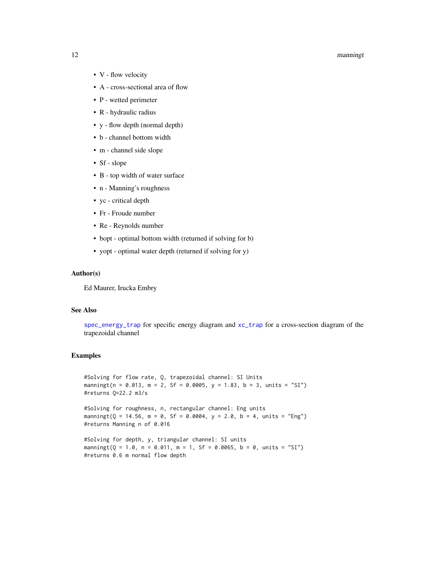#### <span id="page-11-0"></span>12 manningt

- V flow velocity
- A cross-sectional area of flow
- P wetted perimeter
- R hydraulic radius
- y flow depth (normal depth)
- b channel bottom width
- m channel side slope
- Sf slope
- B top width of water surface
- n Manning's roughness
- yc critical depth
- Fr Froude number
- Re Reynolds number
- bopt optimal bottom width (returned if solving for b)
- yopt optimal water depth (returned if solving for y)

# Author(s)

Ed Maurer, Irucka Embry

# See Also

[spec\\_energy\\_trap](#page-15-1) for specific energy diagram and [xc\\_trap](#page-19-1) for a cross-section diagram of the trapezoidal channel

# Examples

```
#Solving for flow rate, Q, trapezoidal channel: SI Units
manningt(n = 0.013, m = 2, Sf = 0.0005, y = 1.83, b = 3, units = "SI")
#returns Q=22.2 m3/s
```
#Solving for roughness, n, rectangular channel: Eng units manningt( $Q = 14.56$ , m = 0, Sf = 0.0004, y = 2.0, b = 4, units = "Eng") #returns Manning n of 0.016

#Solving for depth, y, triangular channel: SI units manningt( $Q = 1.0$ , n = 0.011, m = 1, Sf = 0.0065, b = 0, units = "SI") #returns 0.6 m normal flow depth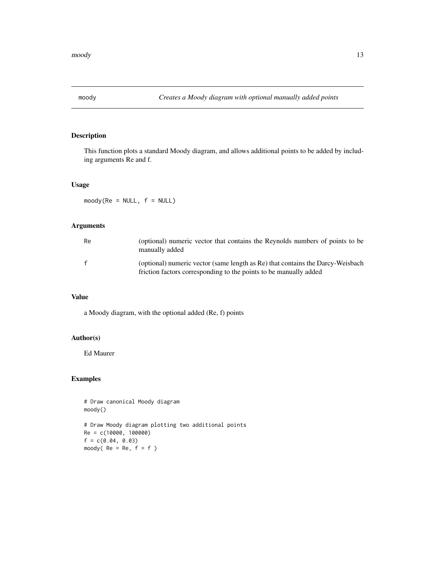<span id="page-12-0"></span>

This function plots a standard Moody diagram, and allows additional points to be added by including arguments Re and f.

# Usage

 $mody(Re = NULL, f = NULL)$ 

# Arguments

| Re           | (optional) numeric vector that contains the Reynolds numbers of points to be<br>manually added                                                      |
|--------------|-----------------------------------------------------------------------------------------------------------------------------------------------------|
| $\mathbf{f}$ | (optional) numeric vector (same length as Re) that contains the Darcy-Weisbach<br>friction factors corresponding to the points to be manually added |

# Value

a Moody diagram, with the optional added (Re, f) points

# Author(s)

Ed Maurer

# Examples

```
# Draw canonical Moody diagram
moody()
# Draw Moody diagram plotting two additional points
Re = c(10000, 100000)
f = c(0.04, 0.03)moody( Re = Re, f = f )
```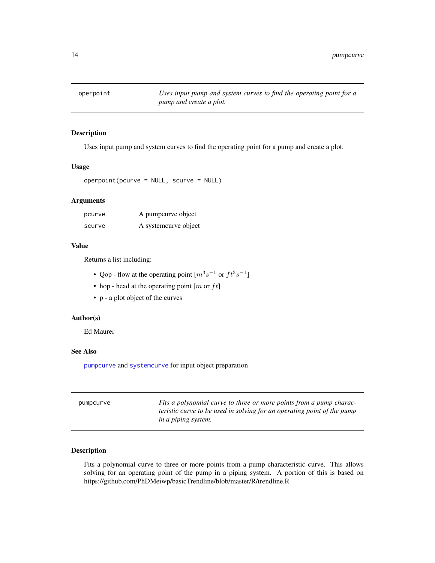<span id="page-13-0"></span>

Uses input pump and system curves to find the operating point for a pump and create a plot.

#### Usage

```
operpoint(pcurve = NULL, scurve = NULL)
```
# Arguments

| pcurve | A pumpcurve object    |
|--------|-----------------------|
| scurve | A system curve object |

#### Value

Returns a list including:

- Qop flow at the operating point  $[m^3s^{-1}$  or  $ft^3s^{-1}]$
- hop head at the operating point  $[m \text{ or } ft]$
- p a plot object of the curves

# Author(s)

Ed Maurer

# See Also

[pumpcurve](#page-13-1) and [systemcurve](#page-16-1) for input object preparation

<span id="page-13-1"></span>

| pumpcurve | Fits a polynomial curve to three or more points from a pump charac-     |
|-----------|-------------------------------------------------------------------------|
|           | teristic curve to be used in solving for an operating point of the pump |
|           | in a piping system.                                                     |

# Description

Fits a polynomial curve to three or more points from a pump characteristic curve. This allows solving for an operating point of the pump in a piping system. A portion of this is based on https://github.com/PhDMeiwp/basicTrendline/blob/master/R/trendline.R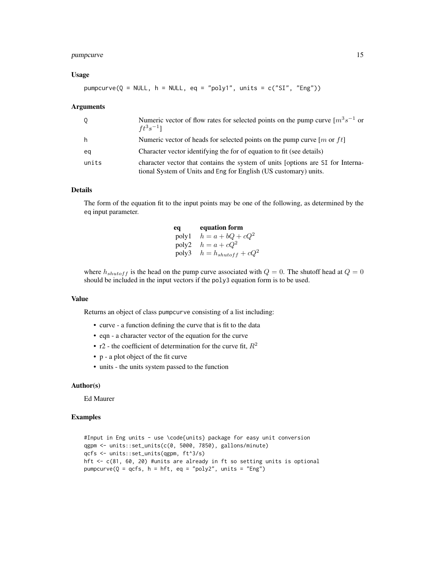# pumpcurve 15

#### Usage

 $pumpcurve(Q = NULL, h = NULL, eq = "poly1", units = c("SI", "Eng"))$ 

#### Arguments

| Q     | Numeric vector of flow rates for selected points on the pump curve $[m^3s^{-1}]$ or<br>$ft^3s^{-1}$ ]                                               |
|-------|-----------------------------------------------------------------------------------------------------------------------------------------------------|
| h     | Numeric vector of heads for selected points on the pump curve $[m$ or $ft]$                                                                         |
| eq    | Character vector identifying the for of equation to fit (see details)                                                                               |
| units | character vector that contains the system of units [options are SI for Interna-<br>tional System of Units and Eng for English (US customary) units. |

# Details

The form of the equation fit to the input points may be one of the following, as determined by the eq input parameter.

| eq    | equation form            |
|-------|--------------------------|
| poly1 | $h = a + bQ + cQ^2$      |
| poly2 | $h = a + cQ^2$           |
| poly3 | $h = h_{shutoff} + cQ^2$ |

where  $h_{shutoff}$  is the head on the pump curve associated with  $Q = 0$ . The shutoff head at  $Q = 0$ should be included in the input vectors if the poly3 equation form is to be used.

### Value

Returns an object of class pumpcurve consisting of a list including:

- curve a function defining the curve that is fit to the data
- eqn a character vector of the equation for the curve
- r2 the coefficient of determination for the curve fit,  $R^2$
- p a plot object of the fit curve
- units the units system passed to the function

#### Author(s)

Ed Maurer

#### Examples

```
#Input in Eng units - use \code{units} package for easy unit conversion
qgpm <- units::set_units(c(0, 5000, 7850), gallons/minute)
qcfs <- units::set_units(qgpm, ft^3/s)
hft <- c(81, 60, 20) #units are already in ft so setting units is optional
pumpcurve(Q = qcfs, h = hft, eq = "poly2", units = "Eng")
```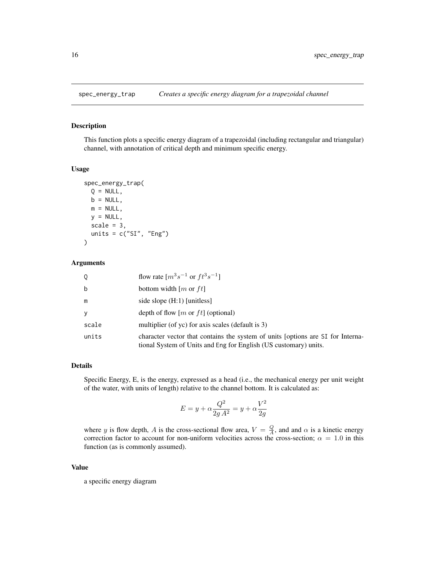<span id="page-15-1"></span><span id="page-15-0"></span>

This function plots a specific energy diagram of a trapezoidal (including rectangular and triangular) channel, with annotation of critical depth and minimum specific energy.

#### Usage

```
spec_energy_trap(
 Q = NULL,b = NULL,m = NULL,y = NULL,scale = 3,
 units = c("SI", "Eng"))
```
#### Arguments

| 0     | flow rate $[m^3s^{-1}$ or $ft^3s^{-1}]$                                                                                                             |
|-------|-----------------------------------------------------------------------------------------------------------------------------------------------------|
| b     | bottom width $[m \text{ or } ft]$                                                                                                                   |
| m     | side slope $(H:1)$ [unitless]                                                                                                                       |
| y     | depth of flow $[m$ or $ft]$ (optional)                                                                                                              |
| scale | multiplier (of yc) for axis scales (default is 3)                                                                                                   |
| units | character vector that contains the system of units [options are SI for Interna-<br>tional System of Units and Eng for English (US customary) units. |

# Details

Specific Energy, E, is the energy, expressed as a head (i.e., the mechanical energy per unit weight of the water, with units of length) relative to the channel bottom. It is calculated as:

$$
E=y+\alpha\frac{Q^2}{2g\,A^2}=y+\alpha\frac{V^2}{2g}
$$

where y is flow depth, A is the cross-sectional flow area,  $V = \frac{Q}{A}$ , and and  $\alpha$  is a kinetic energy correction factor to account for non-uniform velocities across the cross-section;  $\alpha = 1.0$  in this function (as is commonly assumed).

#### Value

a specific energy diagram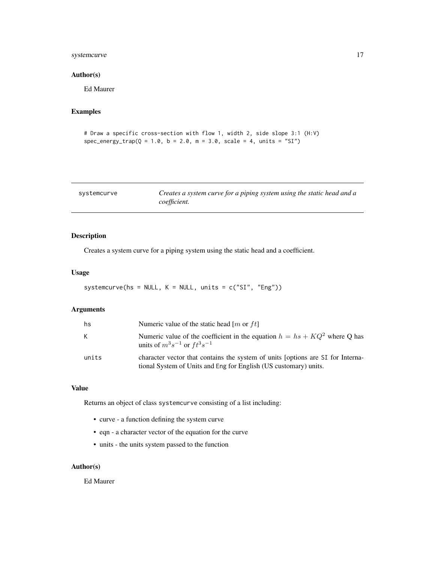# <span id="page-16-0"></span>systemcurve 17

#### Author(s)

Ed Maurer

# Examples

```
# Draw a specific cross-section with flow 1, width 2, side slope 3:1 (H:V)
spec_{\text{energy\_trap}}(Q = 1.0, b = 2.0, m = 3.0, scale = 4, units = "SI")
```
<span id="page-16-1"></span>

| systemcurve | Creates a system curve for a piping system using the static head and a |
|-------------|------------------------------------------------------------------------|
|             | <i>coefficient.</i>                                                    |

# Description

Creates a system curve for a piping system using the static head and a coefficient.

# Usage

```
systemcurve(hs = NULL, K = NULL, units = c("SI", "Eng"))
```
# Arguments

| hs    | Numeric value of the static head [m or ft]                                                                                                          |
|-------|-----------------------------------------------------------------------------------------------------------------------------------------------------|
| K     | Numeric value of the coefficient in the equation $h = hs + KQ^2$ where Q has<br>units of $m^3s^{-1}$ or $ft^3s^{-1}$                                |
| units | character vector that contains the system of units [options are SI for Interna-<br>tional System of Units and Eng for English (US customary) units. |

#### Value

Returns an object of class systemcurve consisting of a list including:

- curve a function defining the system curve
- eqn a character vector of the equation for the curve
- units the units system passed to the function

# Author(s)

Ed Maurer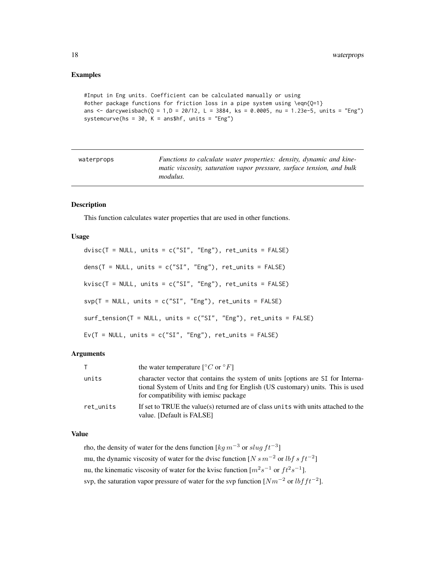# <span id="page-17-0"></span>Examples

```
#Input in Eng units. Coefficient can be calculated manually or using
#other package functions for friction loss in a pipe system using \eqn{Q=1}
ans \le darcyweisbach(Q = 1,D = 20/12, L = 3884, ks = 0.0005, nu = 1.23e-5, units = "Eng")
systemcurve(hs = 30, K = ans$hf, units = "Eng")
```

| waterprops | Functions to calculate water properties: density, dynamic and kine-   |
|------------|-----------------------------------------------------------------------|
|            | matic viscosity, saturation vapor pressure, surface tension, and bulk |
|            | <i>modulus.</i>                                                       |

#### <span id="page-17-1"></span>Description

This function calculates water properties that are used in other functions.

#### Usage

```
divisc(T = NULL, units = c("SI", "Eng"), ret\_units = FALSE)dens(T = NULL, units = c("SI", "Eng"), ret\_units = FALSE)kvisc(T = NULL, units = c("SI", "Eng"), ret\_units = FALSE)svp(T = NULL, units = c("SI", "Eng"), ret\_units = FALSE)surf_tension(T = NULL, units = c("SI", "Eng"), ret_umits = FALSE)Ev(T = NULL, units = c("SI", "Eng"), ret_units = FALSE)
```
#### Arguments

| $\top$    | the water temperature $\lceil {^{\circ}C} \text{ or } {^{\circ}F} \rceil$                                                                                                                                 |
|-----------|-----------------------------------------------------------------------------------------------------------------------------------------------------------------------------------------------------------|
| units     | character vector that contains the system of units (options are SI for Interna-<br>tional System of Units and Eng for English (US customary) units. This is used<br>for compatibility with iemisc package |
| ret_units | If set to TRUE the value(s) returned are of class units with units attached to the<br>value. [Default is FALSE]                                                                                           |

# Value

rho, the density of water for the dens function [ $kg m^{-3}$  or  $slug ft^{-3}$ ]

mu, the dynamic viscosity of water for the dvisc function [ $N s m^{-2}$  or lbf s  $ft^{-2}$ ]

nu, the kinematic viscosity of water for the kvisc function  $[m^2s^{-1}]$  or  $ft^2s^{-1}$ .

svp, the saturation vapor pressure of water for the svp function  $[Nm^{-2}]$  or  $lbfft^{-2}$ .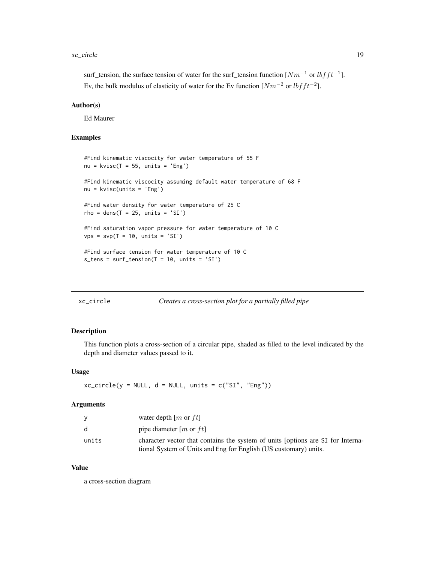#### <span id="page-18-0"></span>xc\_circle 19

surf\_tension, the surface tension of water for the surf\_tension function  $[Nm^{-1}]$  or  $lbfft^{-1}$ . Ev, the bulk modulus of elasticity of water for the Ev function  $[Nm^{-2}]$  or  $lbfft^{-2}$ .

#### Author(s)

Ed Maurer

# Examples

```
#Find kinematic viscocity for water temperature of 55 F
nu = kvisc(T = 55, units = 'Eng')#Find kinematic viscocity assuming default water temperature of 68 F
nu = kvisc(units = 'Eng')
#Find water density for water temperature of 25 C
rho = dens(T = 25, units = 'SI')#Find saturation vapor pressure for water temperature of 10 C
vps = svp(T = 10, units = 'SI')#Find surface tension for water temperature of 10 C
s_{\text{tens}} = \text{surf}_{\text{tension}}(T = 10, \text{ units} = 'SI')
```
<span id="page-18-1"></span>

|  | xc_circle |
|--|-----------|
|  |           |

#### Creates a cross-section plot for a partially filled pipe

#### Description

This function plots a cross-section of a circular pipe, shaded as filled to the level indicated by the depth and diameter values passed to it.

#### Usage

 $xc\_circle(y = NULL, d = NULL, units = c("SI", "Eng"))$ 

#### Arguments

| y            | water depth $[m$ or $ft]$                                                       |
|--------------|---------------------------------------------------------------------------------|
| <sub>d</sub> | pipe diameter [ <i>m</i> or $ft$ ]                                              |
| units        | character vector that contains the system of units (options are SI for Interna- |
|              | tional System of Units and Eng for English (US customary) units.                |

#### Value

a cross-section diagram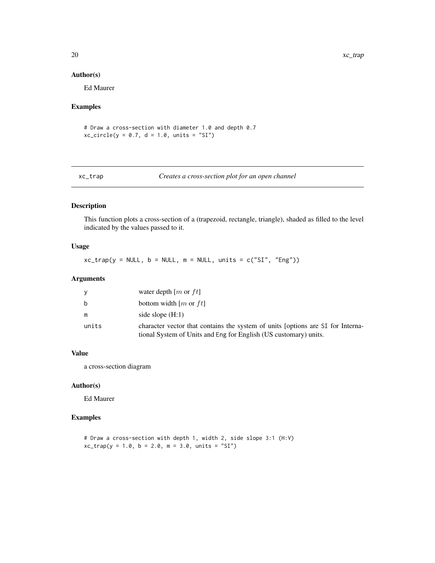#### Author(s)

Ed Maurer

# Examples

# Draw a cross-section with diameter 1.0 and depth 0.7  $xc\_circle(y = 0.7, d = 1.0, units = "SI")$ 

<span id="page-19-1"></span>xc\_trap *Creates a cross-section plot for an open channel*

# Description

This function plots a cross-section of a (trapezoid, rectangle, triangle), shaded as filled to the level indicated by the values passed to it.

# Usage

 $xc\_trap(y = NULL, b = NULL, m = NULL, units = c("SI", "Eng"))$ 

#### Arguments

| ٧     | water depth $[m$ or $ft]$                                                                                                                           |
|-------|-----------------------------------------------------------------------------------------------------------------------------------------------------|
| b     | bottom width $[m$ or $ft]$                                                                                                                          |
| m     | side slope $(H:1)$                                                                                                                                  |
| units | character vector that contains the system of units (options are SI for Interna-<br>tional System of Units and Eng for English (US customary) units. |

# Value

a cross-section diagram

# Author(s)

Ed Maurer

# Examples

# Draw a cross-section with depth 1, width 2, side slope 3:1 (H:V)  $xc_{trap}(y = 1.0, b = 2.0, m = 3.0, units = "SI")$ 

<span id="page-19-0"></span>